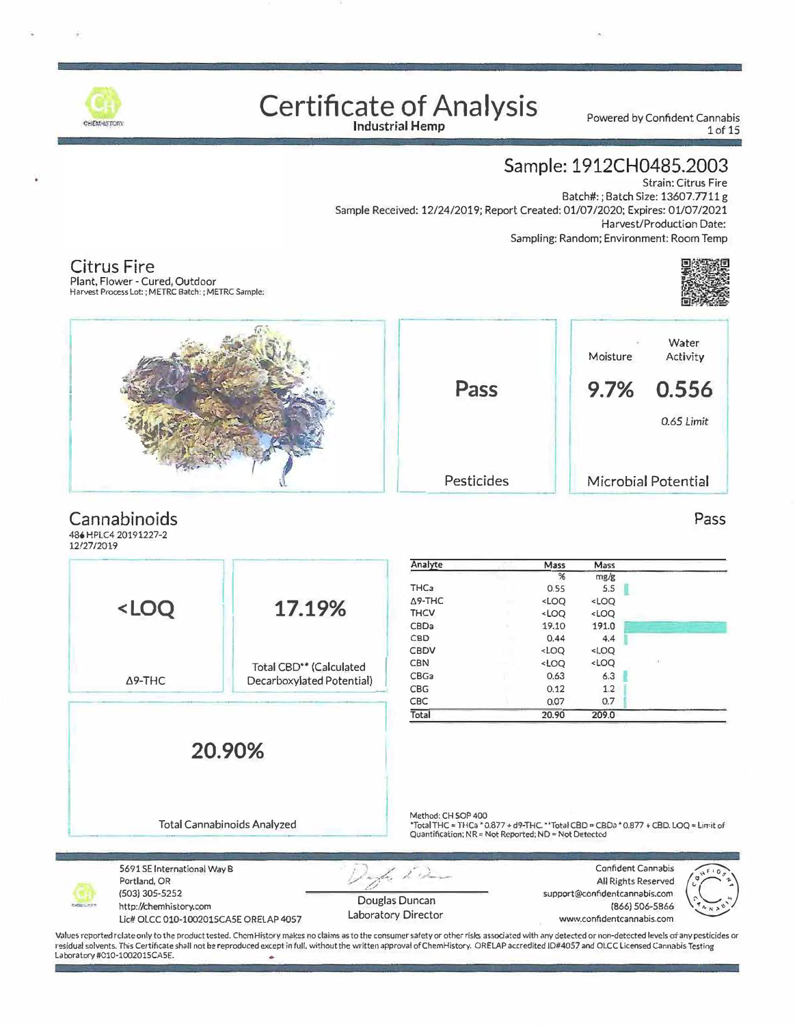

## **Certificate of Analysis**

Powered by Confident Cannabis 1of 15

#### **Sample: 1912CH0485.2003**

Strain: Citrus Fire Batch#: ; Batch Size: 13607.7711 g Sample Received: 12/24/2019; Report Created: 01/07/2020; Expires: 01/07/2021 Harvest/Production Date: Sampling: Random; Environment: Room Temp



Pass

**Citrus Fire**  Plant, Flower - Cured, Outdoor Harvest Process Lot: ; METRC Batch: ; METRC Sample:



#### **Cannabinoids**

**486 HPLC420191227-2 12/27/2019** 

|                                                                                                                                      |                                     | Analyte            | Mass                                                     | Mass                         |                                                                                      |
|--------------------------------------------------------------------------------------------------------------------------------------|-------------------------------------|--------------------|----------------------------------------------------------|------------------------------|--------------------------------------------------------------------------------------|
|                                                                                                                                      |                                     |                    | %                                                        | mg/g                         |                                                                                      |
|                                                                                                                                      |                                     | THC <sub>3</sub>   | 0.55                                                     | 5.5                          |                                                                                      |
| <loq< td=""><td>17.19%</td><td><math>\Delta</math>9-THC</td><td><loq< td=""><td><loq< td=""><td></td></loq<></td></loq<></td></loq<> | 17.19%                              | $\Delta$ 9-THC     | <loq< td=""><td><loq< td=""><td></td></loq<></td></loq<> | <loq< td=""><td></td></loq<> |                                                                                      |
|                                                                                                                                      |                                     | <b>THCV</b>        | <loq< td=""><td><loq< td=""><td></td></loq<></td></loq<> | <loq< td=""><td></td></loq<> |                                                                                      |
|                                                                                                                                      |                                     | CBDa               | 19.10                                                    | 191.0                        |                                                                                      |
|                                                                                                                                      |                                     | CBD                | 0.44                                                     | 4.4                          |                                                                                      |
|                                                                                                                                      |                                     | CBDV               | <loq< td=""><td><loq< td=""><td></td></loq<></td></loq<> | <loq< td=""><td></td></loq<> |                                                                                      |
|                                                                                                                                      | Total CBD <sup>**</sup> (Calculated | <b>CBN</b>         | $<$ LOQ                                                  | <loq< td=""><td></td></loq<> |                                                                                      |
| $\Delta$ 9-THC                                                                                                                       | Decarboxylated Potential)           | CBGa               | 0.63                                                     | 6.3                          |                                                                                      |
|                                                                                                                                      |                                     | CBG                | 0.12                                                     | 1.2                          |                                                                                      |
|                                                                                                                                      |                                     | <b>CBC</b>         | 0.07                                                     | 0.7                          |                                                                                      |
|                                                                                                                                      |                                     | Total              | 20.90                                                    | 209.0                        |                                                                                      |
| 20.90%                                                                                                                               |                                     |                    |                                                          |                              |                                                                                      |
|                                                                                                                                      | <b>Total Cannabinoids Analyzed</b>  | Method: CH SOP 400 |                                                          |                              | *Total THC = THCa * 0.877 + d9-THC. **Total CBD = CBDa * 0.877 + CBD. LOQ = Limit of |

| Analyte          |    | Mass                                                                             | Mass                                                 |               |
|------------------|----|----------------------------------------------------------------------------------|------------------------------------------------------|---------------|
|                  |    | %                                                                                | mg/g                                                 |               |
| THC <sub>3</sub> |    | 0.55                                                                             | 5.5                                                  |               |
| A9-THC           | w. | <loq< td=""><td>LOO</td><td></td></loq<>                                         | LOO                                                  |               |
| <b>THCV</b>      |    | <loq< td=""><td><loq< td=""><td></td></loq<></td></loq<>                         | <loq< td=""><td></td></loq<>                         |               |
| CBDa             | ٠  | 19.10                                                                            | 191.0                                                |               |
| C <sub>B</sub> D |    | 0.44                                                                             | 4.4                                                  |               |
| CBDV             |    | <loq< td=""><td><loq< td=""><td></td></loq<></td></loq<>                         | <loq< td=""><td></td></loq<>                         |               |
| <b>CBN</b>       |    | <loq< td=""><td><loq< td=""><td><math>\mathcal{L}</math></td></loq<></td></loq<> | <loq< td=""><td><math>\mathcal{L}</math></td></loq<> | $\mathcal{L}$ |
| <b>CBGa</b>      |    | 0.63                                                                             | 6.3                                                  |               |
| <b>CBG</b>       |    | 0.12                                                                             | 1.2                                                  |               |
| <b>CBC</b>       |    | 0.07                                                                             | 0.7                                                  |               |
| Total            |    | 20.90                                                                            | 209.0                                                |               |

Quantification; NR = Not Reported; ND = Not Detected

5691 SE International Way B Portland, OR (503) 305-5252 http://chemhistory.com Lie# OLCC 010-1002015CASE ORELAP 4057 Douglas Duncan Laboratory Director Confident Cannabis ( All Rights Reserved  $\sum_{\mathbf{r}}$ support@confidentcannabis.com (866) 506-5866 � www.confidentcannabis.com

Values reported relate only to the product tested. ChemHistory makes no claims as to the consumer safety or other risks associated with any detected or non-detected levels of any pesticides or residual solvents. This Certificate shall not be reproduced except in full, without the written approval of ChemHistory. ORE LAP accredited 10#4057 and OLCC Licensed cannabis Testing Laboratory #010·1002015CA5E.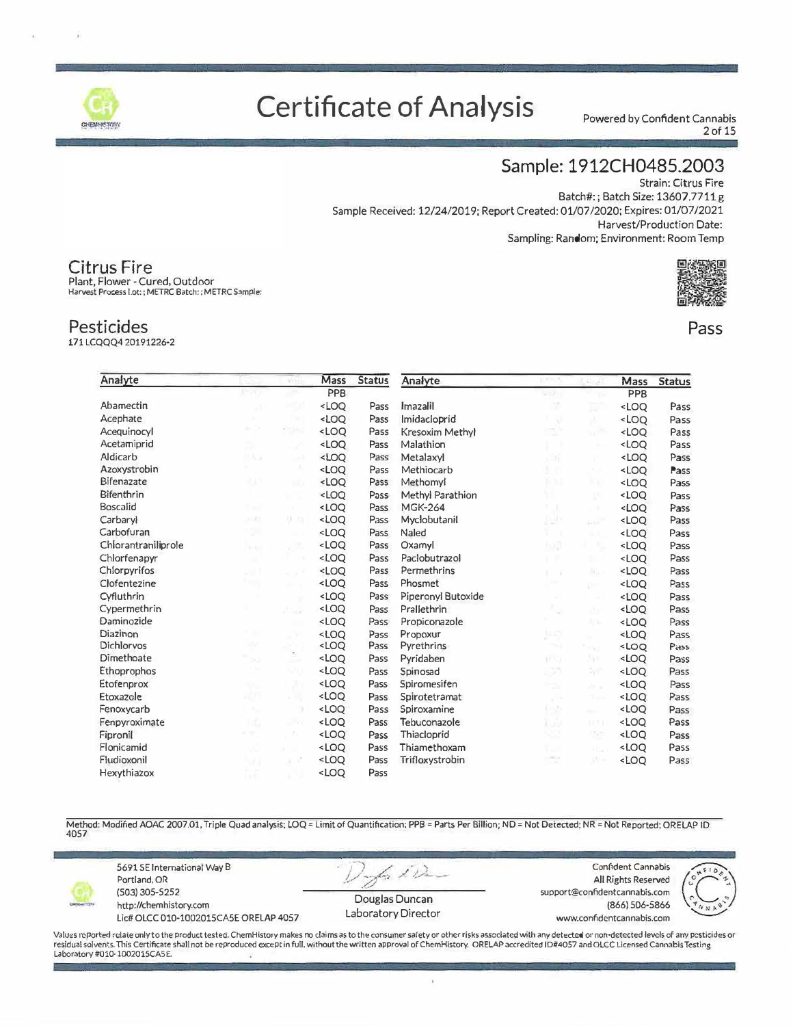

### **Certificate of Analysis**

Powered by Confident Cannabis 2 of 15

#### Sample: 1912CH0485.2003

**Strain: Citrus Fire** Batch#:; Batch Size: 13607.7711 g Sample Received: 12/24/2019; Report Created: 01/07/2020; Expires: 01/07/2021 Harvest/Production Date: Sampling: Random; Environment: Room Temp



#### Pass

Pesticides 171LCOOO4 20191226-2

**Citrus Fire** 

Plant, Flower - Cured, Outdoor Harvest Process I.ot: ; METRC Batch: ; METRC Sample:

| Analyte             |                | <b>ANGEL</b> | Mass                                                                                                                                                                | <b>Status</b> | Analyte                |            |                            | Mass                             | <b>Status</b> |
|---------------------|----------------|--------------|---------------------------------------------------------------------------------------------------------------------------------------------------------------------|---------------|------------------------|------------|----------------------------|----------------------------------|---------------|
|                     |                |              | PPB                                                                                                                                                                 |               |                        | tu pi      |                            | PPB                              |               |
| Abamectin           |                |              | <loo< td=""><td>Pass</td><td>Imazalil</td><td></td><td>×</td><td><loo< td=""><td>Pass</td></loo<></td></loo<>                                                       | Pass          | Imazalil               |            | ×                          | <loo< td=""><td>Pass</td></loo<> | Pass          |
| Acephate            |                |              | <loo< td=""><td>Pass</td><td>Imidacloprid</td><td></td><td>x</td><td><loo< td=""><td>Pass</td></loo<></td></loo<>                                                   | Pass          | Imidacloprid           |            | x                          | <loo< td=""><td>Pass</td></loo<> | Pass          |
| Acequinocyl         |                |              | <loq< td=""><td>Pass</td><td><b>Kresoxim Methyl</b></td><td></td><td></td><td><loq< td=""><td>Pass</td></loq<></td></loq<>                                          | Pass          | <b>Kresoxim Methyl</b> |            |                            | <loq< td=""><td>Pass</td></loq<> | Pass          |
| Acetamiprid         |                |              | <loq< td=""><td>Pass</td><td>Malathion</td><td></td><td></td><td><loo< td=""><td>Pass</td></loo<></td></loq<>                                                       | Pass          | Malathion              |            |                            | <loo< td=""><td>Pass</td></loo<> | Pass          |
| Aldicarb            | H.U            |              | 200                                                                                                                                                                 | Pass          | Metalaxyl              | ıЖ         |                            | <loo< td=""><td>Pass</td></loo<> | Pass          |
| Azoxystrobin        |                |              | <loq< td=""><td>Pass</td><td>Methiocarb</td><td>Χn</td><td>nи</td><td><loo< td=""><td>Pass</td></loo<></td></loq<>                                                  | Pass          | Methiocarb             | Χn         | nи                         | <loo< td=""><td>Pass</td></loo<> | Pass          |
| Bifenazate          | al Li          | - 13         | <loo< td=""><td>Pass</td><td>Methomyl</td><td>n sa</td><td>×x</td><td><loq< td=""><td>Pass</td></loq<></td></loo<>                                                  | Pass          | Methomyl               | n sa       | ×x                         | <loq< td=""><td>Pass</td></loq<> | Pass          |
| Bifenthrin          |                |              | <loo< td=""><td>Pass</td><td>Methyl Parathion</td><td></td><td>X)</td><td><loo< td=""><td>Pass</td></loo<></td></loo<>                                              | Pass          | Methyl Parathion       |            | X)                         | <loo< td=""><td>Pass</td></loo<> | Pass          |
| Boscalid            | - 44           |              | <loo< td=""><td>Pass</td><td><b>MGK-264</b></td><td><math>T = 1</math></td><td>- 11</td><td><loo< td=""><td>Pass</td></loo<></td></loo<>                            | Pass          | <b>MGK-264</b>         | $T = 1$    | - 11                       | <loo< td=""><td>Pass</td></loo<> | Pass          |
| Carbaryl            | $-11$          | U.           | $<$ LOO                                                                                                                                                             | Pass          | Myclobutanil           | 195        | a P                        | <loq< td=""><td>Pass</td></loq<> | Pass          |
| Carbofuran          | ÷              |              | <loo< td=""><td>Pass</td><td>Naled</td><td></td><td></td><td><loq< td=""><td>Pass</td></loq<></td></loo<>                                                           | Pass          | Naled                  |            |                            | <loq< td=""><td>Pass</td></loq<> | Pass          |
| Chlorantraniliprole | <b>Service</b> |              | <loo< td=""><td>Pass</td><td>Oxamyl</td><td>49,91</td><td></td><td><loq< td=""><td>Pass</td></loq<></td></loo<>                                                     | Pass          | Oxamyl                 | 49,91      |                            | <loq< td=""><td>Pass</td></loq<> | Pass          |
| Chlorfenapyr        | m.             |              | $<$ LOO                                                                                                                                                             | Pass          | Paclobutrazol          |            |                            | <loo< td=""><td>Pass</td></loo<> | Pass          |
| Chlorpyrifos        |                |              | <loq< td=""><td>Pass</td><td>Permethrins</td><td>. .</td><td>ш</td><td><loq< td=""><td>Pass</td></loq<></td></loq<>                                                 | Pass          | Permethrins            | . .        | ш                          | <loq< td=""><td>Pass</td></loq<> | Pass          |
| Clofentezine        |                |              | <loo< td=""><td>Pass</td><td>Phosmet</td><td></td><td>p.</td><td><loo< td=""><td>Pass</td></loo<></td></loo<>                                                       | Pass          | Phosmet                |            | p.                         | <loo< td=""><td>Pass</td></loo<> | Pass          |
| Cyfluthrin          |                |              | <loq< td=""><td>Pass</td><td>Piperonyl Butoxide</td><td></td><td></td><td><loo< td=""><td>Pass</td></loo<></td></loq<>                                              | Pass          | Piperonyl Butoxide     |            |                            | <loo< td=""><td>Pass</td></loo<> | Pass          |
| Cypermethrin        |                | oris         | <loq< td=""><td>Pass</td><td>Prallethrin</td><td></td><td>ã.</td><td><loo< td=""><td>Pass</td></loo<></td></loq<>                                                   | Pass          | Prallethrin            |            | ã.                         | <loo< td=""><td>Pass</td></loo<> | Pass          |
| Daminozide          |                |              | <loq< td=""><td>Pass</td><td>Propiconazole</td><td></td><td>÷.</td><td><loq< td=""><td>Pass</td></loq<></td></loq<>                                                 | Pass          | Propiconazole          |            | ÷.                         | <loq< td=""><td>Pass</td></loq<> | Pass          |
| Diazinon            |                |              | $<$ LOO                                                                                                                                                             | Pass          | Propoxur               | 33421      |                            | $<$ LOQ                          | Pass          |
| Dichlorvos          | w              |              | <loo< td=""><td>Pass</td><td>Pyrethrins</td><td>ma y</td><td><math display="inline">\lambda_{\rm CDM}</math></td><td><math>&lt;</math> LOQ</td><td>Pass</td></loo<> | Pass          | Pyrethrins             | ma y       | $\lambda_{\rm CDM}$        | $<$ LOQ                          | Pass          |
| Dimethoate          | ×              |              | $<$ LOQ                                                                                                                                                             | Pass          | Pyridaben              | <b>TOM</b> | $\mathcal{N}(\mathcal{P})$ | <loq< td=""><td>Pass</td></loq<> | Pass          |
| Ethoprophos         |                |              | $<$ LOQ                                                                                                                                                             | Pass          | Spinosad               | -57        | n, e                       | <loq< td=""><td>Pass</td></loq<> | Pass          |
| Etofenprox          |                |              | <loo< td=""><td>Pass</td><td>Spiromesifen</td><td>P.N</td><td><b>Service</b></td><td><loo< td=""><td>Pass</td></loo<></td></loo<>                                   | Pass          | Spiromesifen           | P.N        | <b>Service</b>             | <loo< td=""><td>Pass</td></loo<> | Pass          |
| Etoxazole           | 'nЛ            | X Hy         | <loq< td=""><td>Pass</td><td>Spirotetramat</td><td><math display="inline">\sim</math></td><td>Чю</td><td>LOO</td><td>Pass</td></loq<>                               | Pass          | Spirotetramat          | $\sim$     | Чю                         | LOO                              | Pass          |
| Fenoxycarb          |                |              | <loo< td=""><td>Pass</td><td>Spiroxamine</td><td>机器</td><td></td><td><loq< td=""><td>Pass</td></loq<></td></loo<>                                                   | Pass          | Spiroxamine            | 机器         |                            | <loq< td=""><td>Pass</td></loq<> | Pass          |
| Fenpyroximate       | iič            |              | <loo< td=""><td>Pass</td><td>Tebuconazole</td><td>Юŵ</td><td>mer</td><td><math>&lt;</math>LOO</td><td>Pass</td></loo<>                                              | Pass          | Tebuconazole           | Юŵ         | mer                        | $<$ LOO                          | Pass          |
| Fipronil            | 4.19           |              | <loo< td=""><td>Pass</td><td>Thiacloprid</td><td>œ</td><td>93</td><td><loo< td=""><td>Pass</td></loo<></td></loo<>                                                  | Pass          | Thiacloprid            | œ          | 93                         | <loo< td=""><td>Pass</td></loo<> | Pass          |
| Flonicamid          |                |              | <loq< td=""><td>Pass</td><td>Thiamethoxam</td><td>t.</td><td>na.</td><td><math>&lt;</math>LOO</td><td>Pass</td></loq<>                                              | Pass          | Thiamethoxam           | t.         | na.                        | $<$ LOO                          | Pass          |
| Fludioxonil         |                |              | <loq< td=""><td>Pass</td><td>Trifloxystrobin</td><td>ð.</td><td><b>A</b></td><td><loq< td=""><td>Pass</td></loq<></td></loq<>                                       | Pass          | Trifloxystrobin        | ð.         | <b>A</b>                   | <loq< td=""><td>Pass</td></loq<> | Pass          |
| Hexythiazox         |                |              | $<$ LOQ                                                                                                                                                             | Pass          |                        |            |                            |                                  |               |

Method: Modified AOAC 2007.01, Triple Quad analysis; LOQ = Limit of Quantification; PPB = Parts Per Billion; ND = Not Detected; NR = Not Reported; ORELAP ID 4057



5691 SE International Way B Portland, OR (503) 305-5252 http://chemhistory.com

Lic# OLCC 010-1002015CA5E ORELAP 4057

114 Douglas Duncan

Confident Cannabis All Rights Reserved support@confidentcannabis.com (866) 506-5866 www.confidentcannabis.com



Values reported relate only to the product tested. ChemHistory makes no claims as to the consumer safety or other risks associated with any detected or non-detected levels of any pesticides or residual solvents. This Certificate shall not be reproduced except in full, without the written approval of ChemHistory. ORELAP accredited ID#4057 and OLCC Licensed Cannabis Testing Laboratory #010-1002015CASE.

¥

Laboratory Director